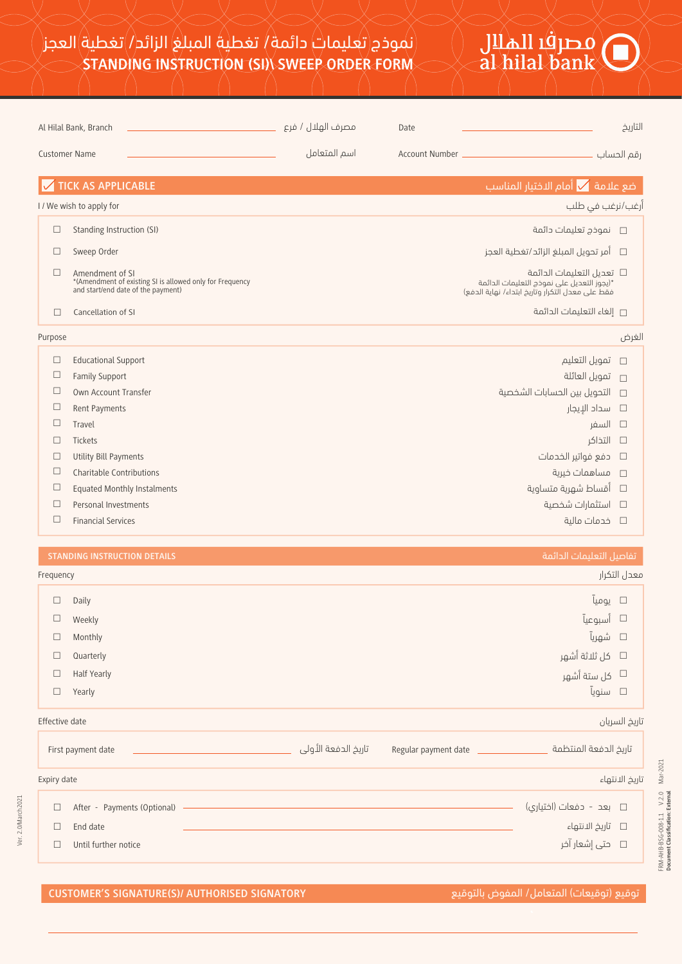# Jilall iĝje o<br>al hilal bank

| Al Hilal Bank, Branch |                                                                                                                   | مصرف الهلال / فرع | Date |                                                                                                                                  | التاريخ    |
|-----------------------|-------------------------------------------------------------------------------------------------------------------|-------------------|------|----------------------------------------------------------------------------------------------------------------------------------|------------|
| <b>Customer Name</b>  |                                                                                                                   | اسم المتعامل      |      |                                                                                                                                  | رقم الحساب |
|                       | <b>TICK AS APPLICABLE</b>                                                                                         |                   |      | ضع علامة $\overline{\blacktriangledown}$ أمام الاختيار المناسب                                                                   |            |
|                       | I / We wish to apply for                                                                                          |                   |      | أرغب/نرغب فى طلب                                                                                                                 |            |
| $\Box$                | Standing Instruction (SI)                                                                                         |                   |      | نموذح تعليمات دائمة                                                                                                              | $\Box$     |
| □                     | Sweep Order                                                                                                       |                   |      | آمر تحويل المبلغ الزائد/تغطية العجز                                                                                              | $\Box$     |
| П                     | Amendment of SI<br>*(Amendment of existing SI is allowed only for Frequency<br>and start/end date of the payment) |                   |      | تعديل التعليمات الدائمة $\Box$<br>*(يجوز التعديل على نموذج التعليمات الدائمة<br>فقط على معدل التكرار وتاريخ ابتداء/ نهاية الدفع) |            |
| П                     | Cancellation of SI                                                                                                |                   |      | □ إلغاء التعليمات الدائمة                                                                                                        |            |
| Purpose               |                                                                                                                   |                   |      |                                                                                                                                  | الغرض      |
| $\Box$                | <b>Educational Support</b>                                                                                        |                   |      | تمويل التعليم                                                                                                                    | $\Box$     |
| $\Box$                | <b>Family Support</b>                                                                                             |                   |      | تمويل العائلة                                                                                                                    | $\Box$     |
| $\Box$                | Own Account Transfer                                                                                              |                   |      | التحويل بين الحسابات الشخصية                                                                                                     | $\Box$     |
| $\Box$                | Rent Payments                                                                                                     |                   |      | سداد الإيجار                                                                                                                     | $\Box$     |
| $\Box$                | Travel                                                                                                            |                   |      | السفر                                                                                                                            | $\Box$     |
| П                     | Tickets                                                                                                           |                   |      | التذاكر                                                                                                                          | $\Box$     |
| П                     | <b>Utility Bill Payments</b>                                                                                      |                   |      | دفع فواتير الخدمات                                                                                                               | $\Box$     |
| □                     | Charitable Contributions                                                                                          |                   |      | مساهمات خيرية                                                                                                                    | $\Box$     |
| □                     | <b>Equated Monthly Instalments</b>                                                                                |                   |      | أقساط شهرية متساوية                                                                                                              | $\Box$     |
| □                     | Personal Investments                                                                                              |                   |      | استثمارات شخصية                                                                                                                  | $\Box$     |

- □ Personal Investments
- $\Box$ Financial Services

| Frequency |             | معدل التكرار           |
|-----------|-------------|------------------------|
| $\Box$    | Daily       | $\square$ یومیآ        |
| $\Box$    | Weekly      | □ أسبوعيآ              |
| $\Box$    | Monthly     | $\square$ شهريآ        |
| $\Box$    | Quarterly   | ط كل ثلاثة أشهر $\Box$ |
| $\Box$    | Half Yearly | كل ستة أشهر $\Box$     |
| $\Box$    | Yearly      | $\square$ سنويآ        |

### تاريخ السريان date Effective

| First payment date |                             | _تاريخ الدفعة الأولى | Regular payment date | تاريخ الدفعة المنتظمة        |  |
|--------------------|-----------------------------|----------------------|----------------------|------------------------------|--|
| Expiry date        |                             |                      |                      | تاريخ الانتهاء               |  |
| □                  | After - Payments (Optional) |                      |                      | $\Box$ بعد - دفعات (اختیاری) |  |
|                    | End date                    |                      |                      | □     تاريخ الانتهاء         |  |
|                    | Until further notice        |                      |                      |                              |  |

خدمات مالية

FRM-AHB-BSG-008-1.1 V.2.0 Mar-2021 **Document Classification: External**

FRM-AHB-BSG-008-1.1 V.2.0 Mar-2021<br>Document Classification: External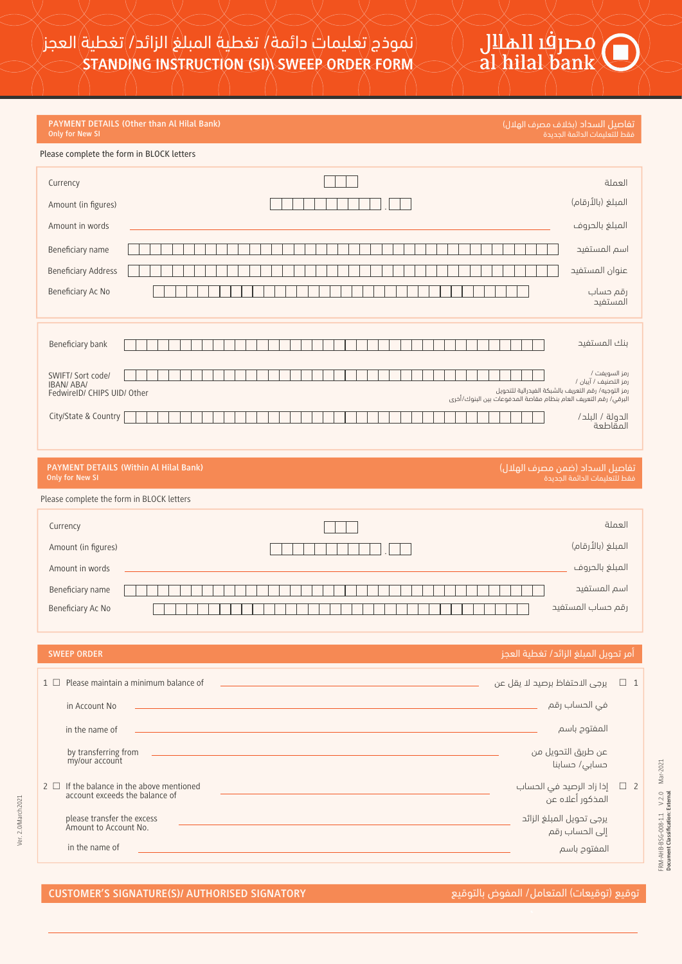### **PAYMENT DETAILS (Other than Al Hilal Bank) Only for New SI**

تفاصيل السداد (بخلاف مصرف الهلال) فقط للتعليمات الدائمة الجديدة

Jilall i g<br>al hilal bank

### Please complete the form in BLOCK letters

| Currency                                                             |                                                                 | العملة                                                                                        |
|----------------------------------------------------------------------|-----------------------------------------------------------------|-----------------------------------------------------------------------------------------------|
| Amount (in figures)                                                  |                                                                 | المبلغ (بالأرقام)                                                                             |
| Amount in words                                                      |                                                                 | المبلغ بالحروف                                                                                |
| Beneficiary name                                                     |                                                                 | اسم المستفيد                                                                                  |
| <b>Beneficiary Address</b>                                           |                                                                 | عنوان المستفيد                                                                                |
| Beneficiary Ac No                                                    |                                                                 | رقم حساب<br>المستفيد                                                                          |
| Beneficiary bank                                                     |                                                                 | بنك المستفيد                                                                                  |
| SWIFT/ Sort code/<br><b>IBAN/ABA/</b><br>FedwireID/ CHIPS UID/ Other | البرقي/ رقم التعريف العام بنظام مقاصة المدفوعات بين البنوك/أخرى | رمز السويفت /<br>رمز التصنيف / آيبان /<br>رمز التوجيه/ رقم التعريف بالشبكة الفيدرالية للتحويل |
| City/State & Country                                                 |                                                                 | الدولة / البلد/<br>المقاطعة                                                                   |
|                                                                      |                                                                 |                                                                                               |
| <b>Only for New SI</b>                                               | <b>PAYMENT DETAILS (Within Al Hilal Bank)</b>                   | تفاصيل السداد (ضمن مصرف الهلال)<br>فقط للتعليمات الدائمة الحديدة                              |
| Please complete the form in BLOCK letters                            |                                                                 |                                                                                               |
| Currency                                                             |                                                                 | العملة                                                                                        |
| Amount (in figures)                                                  |                                                                 | المبلغ (بالأرقام)                                                                             |
| Amount in words                                                      |                                                                 | المبلغ بالحروف                                                                                |
| Beneficiary name                                                     |                                                                 | اسم المستفيد                                                                                  |

رقم حساب المستفيد No Ac Beneficiary

|          | Please maintain a minimum balance of                                    | 1 □ _ يرجى الاحتفاظ برصيد لا يقل عن                    |  |
|----------|-------------------------------------------------------------------------|--------------------------------------------------------|--|
|          | in Account No                                                           | في الحساب رقم                                          |  |
|          | in the name of                                                          | المفتوح باسم                                           |  |
|          | by transferring from<br>my/our account                                  | عن طريق التحويل من<br>حسابی/ حسابنا                    |  |
| $2 \Box$ | If the balance in the above mentioned<br>account exceeds the balance of | 2     □   إذا زاد الرصيد في الحساب<br>المذكور أعلاه عن |  |
|          | please transfer the excess<br>Amount to Account No.                     | يرجى تحويل المبلغ الزائد<br>إلى الحساب رقم             |  |
|          | in the name of                                                          | المفتوح باسم                                           |  |

Ver. 2.0/March2021

Ver. 2.0/March2021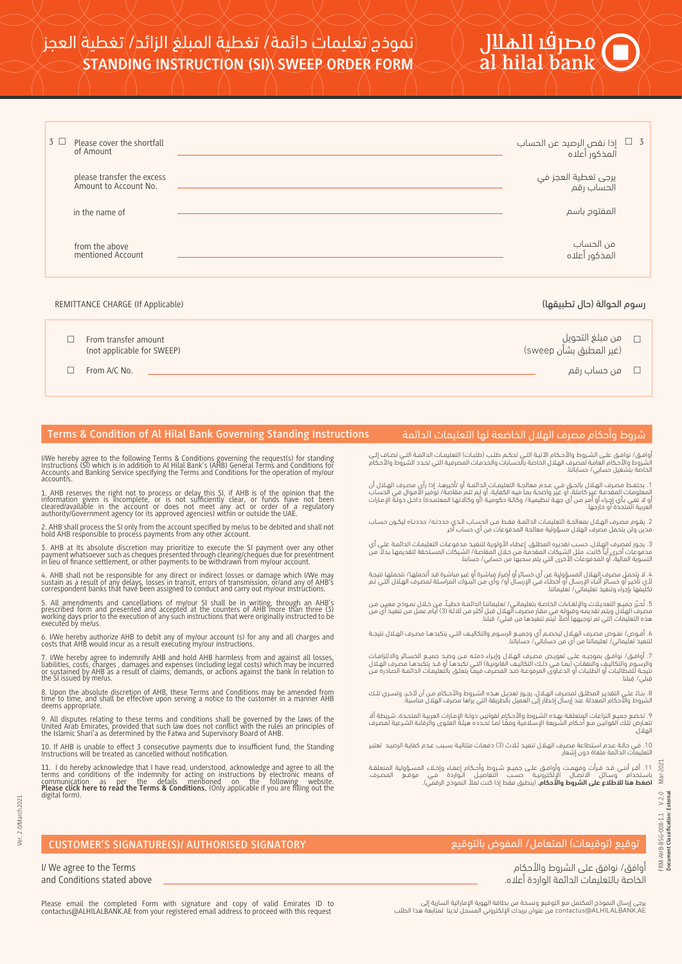| $\rm lll$ اله $\rm lll$ |  |  |
|-------------------------|--|--|
| al hilal bank           |  |  |
|                         |  |  |

| $3 \Box$ | Please cover the shortfall<br>of Amount             | ِ 3           إذا نقص الرصيد عن الحساب<br>المذكور أعلاه |  |
|----------|-----------------------------------------------------|---------------------------------------------------------|--|
|          | please transfer the excess<br>Amount to Account No. | يرجى تغطية العجز في<br>الحساب رقم                       |  |
|          | in the name of                                      | المفتوح باسم                                            |  |
|          | from the above<br>mentioned Account                 | من الحساب<br>المذكور أعلاه                              |  |
|          |                                                     |                                                         |  |

## رسوم الحوالة (حال تطبيقها) (Applicable If Applicable If Applicable If (CHARGE REMITTANCE CHARGE REMITTANCE CHARGE RE

| From transfer amount<br>(not applicable for SWEEP) | من مبلغ التحويل<br>.<br>(غير المطبق بشأن sweep) |  |
|----------------------------------------------------|-------------------------------------------------|--|
| From A/C No.                                       | د من حساب رقم $\square$                         |  |

# **Terms & Condition of Al Hilal Bank Governing Standing Instructions** الدائمة التعليمات لها الخاضعة الهلال مصرف وأحكام شروط

أوافق/ نوافق على الشروط والأحكام الآتية التي تحكم طلب (طلبات) التعليمات الدائمة التي تضاف إلى<br>الشروط والأحكام العامة لمصرف الهلال الخاصة بالحسابات والخدمات المصرفية التي تحدد الشروط والأحكام<br>لخاصة بتشغيل حسابى/ حساباتنا.

1. يحتفظ مصرف الهلال بالحق فـي عـدم معالجـة التعليمـات الدائمـة أو تأخيرهـا، إذا رأى مصرف الهـلال أن<br>المعلومات المقدمة غير كاملة، أو غير واضحة بما فيه الكفاية، أو لـم تتم مقاصة/ توفير الأمـوال فـي الحسـاب<br>العربية المتحدة

2. يقـوم مصـرف الهـلال بمعالجـة التعليمـات الدائمـة فقـط مـن الحسـاب الـذي حددتـه/ حددنـاه ليكـون حسـاب<br>عدين ولن يتحمل مصرف الهلال مسؤولية معالجة المدفوعات من أي حساب آخر.

3. يجوز لمصرف إلهلال، حسب تقديره المطلق، إعطاء الأولوية لتنفيذ مدفوعات التعليمات الدائمة على أي<br>عدفوعات أخرى أيا كانت، مثل الشيكات المقدمة من خلال المقاصة، الشيكات المستحقة لتقديمها بدلاً من<br>لتسوية المالية، أو المدفوعات ا

4. لا يتحمل مصرف الهلال المسؤولية عن أي خسائر أو أضرار مباشرة أو غير مباشرة قد أتحملها/ نتحملها نتيجة<br>أـي تأخير أو خسائر أثناء الإرسال أو أخطاء في الإرسال أو/ وأي من البنوك المراسلة لمصرف الهلال التي تم<br>نكليفها بإجراء وتن

5. تُحبّر جميـع التعديـلات والإلغـاءات الخاصـة بتعليماتــى/ تعليماتنــا الدائمـة خطيـاً، مـن خـلال نمـوذج معيـن مـن<br>مـصرف الهلـان ويتم تقديمه وقبوله فـي مقار مصرف الهلـال قبل أكثر من ثلاثة (3) أيام عمل من تنفيذ أي من<br>هذه

ة. أفــوض/ نفــوض مصــرف الهــلال ليخصــم أي وجميــع الرســوم والتكاليــف التــي يتكبدهـا مصــرف الهـلال نتيجـة<br>لتنفيذ تعليماتي/ تعليماتنا من أي من حساباتي/ حساباتنا.

7. أوافــق/ نوافــق بموجبــه علــي تعويـض مصــرف الهــلال وإبــراء ذمتـه مــن وضــد جميــع الخســـائر والالتزامـات<br>والرســوم والتكاليف والنفــقات (بمــا فــي خــكــا التكاليف القانونية) التــي تكيدها أو قد يتكبحها مصرف ال قِبَلَى/ قِبلنا.

8. بنــاءً علــي التقديــر المطلــق لمصــرف الهـلال، يجــوز تعديـل هــذه الشــروط والأحــكام مــن آن لآخــر، وتســري تلــك<br>الشروط والأحكام المعدلة عند إرسال إخطار إلى العميل بالطريقة التي يراها مصرف الهلال مناسبة.

۶. تخضـع جميـع النزاعات المتعلقة بهـذه الشـروط والأحكام لقوانين دولـة الإـمـارات العربيـة المتحـدة، شـريطة ألا<br>تتعـارض تلـك القوانين مـع أحـكام الشـريعة الإـسـلامية وفقًا لمـا تحـدده هيئـة الفتـوى والرقابـة الشـرعية لمصـر الهلال.

.10 فـي حالـة عـدم اسـتطاعة مصـرف الهـلال تنفيـذ ثـلاث (3) دفعـات متتاليـة بسـبب عـدم كفايـة الرصيـد تعتبـر التعليمات الدائمة ملغاة دون إشعار.

2021 .11 أقــر أننــي قــد قــرأت وفهمــت وأوافــق علــى جميــع شــروط وأحــكام إعفــاء وإخــلاء المســؤولية المتعلقــة باسـتخدام ¨وســائل الاتصــال الإلكترونيــة حســب التفاصيـل الــواردة ˙فـي موقــع المصــرف.<br>ا**ضغط هنا للاطلاع على الشروط والأحكام.** (ينطبق فقط إذا كنت تملأ النموذج الرقمــي). Mar-

account/s.

deems appropriate.

I/ We agree to the Terms and Conditions stated above

# **CUSTOMER'S SIGNATURE(S)/ AUTHORISED SIGNATORY** بالتوقيع المفوض /المتعامل) توقيعات (توقيع

I/We hereby agree to the following Terms & Conditions governing the request(s) for standing<br>Instructions (SI) which is in addition to Al Hilal Bank's (AHB) General Terms and Conditions for<br>Accounts and Banking Service spec

1. AHB reserves the right not to process or delay this SI, if AHB is of the opinion that the<br>information given is incomplete, or is not sufficiently clear, or funds have not been<br>cleared/available in the account or does no

2. AHB shall process the SI only from the account specified by me/us to be debited and shall not hold AHB responsible to process payments from any other account.

3. AHB at its absolute discretion may prioritize to execute the SI payment over any other<br>payment whatsoever such as cheques presented through clearing/cheques due for presentment<br>in lieu of finance settlement, or other pa

4. AHB shall not be responsible for any direct or indirect losses or damage which I/We may<br>sustain as a result of any delays, losses in transit, errors of transmission, or/and any of AHB's<br>correspondent banks that have bee

5. All amendments and cancellations of my/our SI shall be in writing, through an AHB's<br>prescribed form and presented and accepted at the counters of AHB more than three (3)<br>working days prior to the execution of any such i

6. I/We hereby authorize AHB to debit any of my/our account (s) for any and all charges and costs that AHB would incur as a result executing my/our instructions.

7. I/We hereby agree to indemnify AHB and hold AHB harmless from and against all losses,<br>liabilities, costs, charges , damages and expenses (including legal costs) which may be incurred<br>or sustained by AHB as a result of c

8. Upon the absolute discretion of AHB, these Terms and Conditions may be amended from time to time, and shall be effective upon serving a notice to the customer in a manner AHB

9. All disputes relating to these terms and conditions shall be governed by the laws of the<br>United Arab Emirates, provided that such law does not conflict with the rules an principles of<br>the Islamic Shari'a as determined b

10. If AHB is unable to effect 3 consecutive payments due to insufficient fund, the Standing Instructions will be treated as cancelled without notification.

أوافق/ نوافق على الشروط والأحكام الخاصة بـالتعليمات الدائمة الواردة أعلاه. FRM-AHB-BSG-008-1.1 V.2.0 Mar-2021 **Document Classification: External**

FRM-AHB-BSG-008-1.1<br>Document Classification:

 $V.2.0$ ivternal

Please email the completed Form with signature and copy of valid Emirates ID to contactus@ALHILALBANK.AE from your registered email address to proceed with this request

يرجى إرسال النموذج المكتمل مع التوقيع ونسخة من بطاقة الهوية الإماراتية السارية إلى<br>contactus@ALHILALBANK.AE من عنوان بريدك الإلكتروني المسجل لدينا لمتابعة هذا الطلب